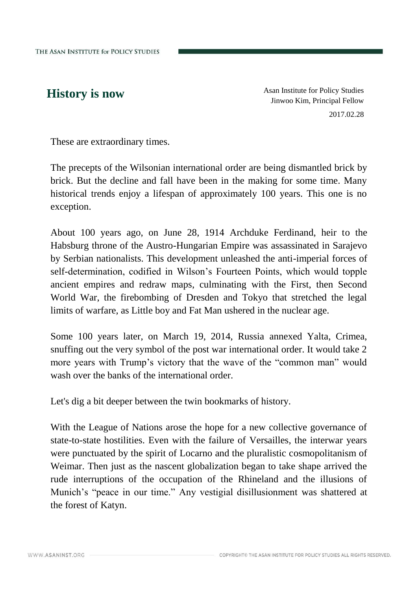**History is now** As an Institute for Policy Studies Jinwoo Kim, Principal Fellow 2017.02.28

These are extraordinary times.

The precepts of the Wilsonian international order are being dismantled brick by brick. But the decline and fall have been in the making for some time. Many historical trends enjoy a lifespan of approximately 100 years. This one is no exception.

About 100 years ago, on June 28, 1914 Archduke Ferdinand, heir to the Habsburg throne of the Austro-Hungarian Empire was assassinated in Sarajevo by Serbian nationalists. This development unleashed the anti-imperial forces of self-determination, codified in Wilson's Fourteen Points, which would topple ancient empires and redraw maps, culminating with the First, then Second World War, the firebombing of Dresden and Tokyo that stretched the legal limits of warfare, as Little boy and Fat Man ushered in the nuclear age.

Some 100 years later, on March 19, 2014, Russia annexed Yalta, Crimea, snuffing out the very symbol of the post war international order. It would take 2 more years with Trump's victory that the wave of the "common man" would wash over the banks of the international order.

Let's dig a bit deeper between the twin bookmarks of history.

With the League of Nations arose the hope for a new collective governance of state-to-state hostilities. Even with the failure of Versailles, the interwar years were punctuated by the spirit of Locarno and the pluralistic cosmopolitanism of Weimar. Then just as the nascent globalization began to take shape arrived the rude interruptions of the occupation of the Rhineland and the illusions of Munich's "peace in our time." Any vestigial disillusionment was shattered at the forest of Katyn.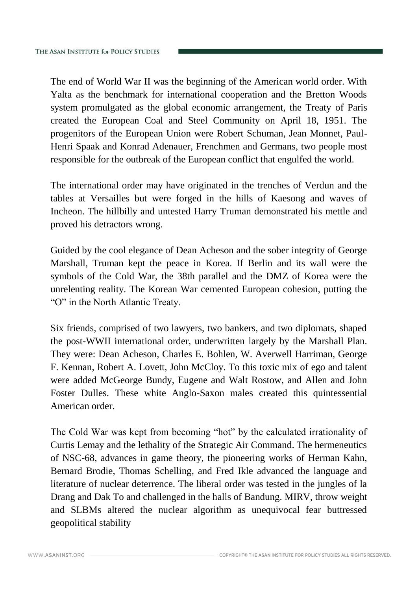The end of World War II was the beginning of the American world order. With Yalta as the benchmark for international cooperation and the Bretton Woods system promulgated as the global economic arrangement, the Treaty of Paris created the European Coal and Steel Community on April 18, 1951. The progenitors of the European Union were Robert Schuman, Jean Monnet, Paul-Henri Spaak and Konrad Adenauer, Frenchmen and Germans, two people most responsible for the outbreak of the European conflict that engulfed the world.

The international order may have originated in the trenches of Verdun and the tables at Versailles but were forged in the hills of Kaesong and waves of Incheon. The hillbilly and untested Harry Truman demonstrated his mettle and proved his detractors wrong.

Guided by the cool elegance of Dean Acheson and the sober integrity of George Marshall, Truman kept the peace in Korea. If Berlin and its wall were the symbols of the Cold War, the 38th parallel and the DMZ of Korea were the unrelenting reality. The Korean War cemented European cohesion, putting the "O" in the North Atlantic Treaty.

Six friends, comprised of two lawyers, two bankers, and two diplomats, shaped the post-WWII international order, underwritten largely by the Marshall Plan. They were: Dean Acheson, Charles E. Bohlen, W. Averwell Harriman, George F. Kennan, Robert A. Lovett, John McCloy. To this toxic mix of ego and talent were added McGeorge Bundy, Eugene and Walt Rostow, and Allen and John Foster Dulles. These white Anglo-Saxon males created this quintessential American order.

The Cold War was kept from becoming "hot" by the calculated irrationality of Curtis Lemay and the lethality of the Strategic Air Command. The hermeneutics of NSC-68, advances in game theory, the pioneering works of Herman Kahn, Bernard Brodie, Thomas Schelling, and Fred Ikle advanced the language and literature of nuclear deterrence. The liberal order was tested in the jungles of la Drang and Dak To and challenged in the halls of Bandung. MIRV, throw weight and SLBMs altered the nuclear algorithm as unequivocal fear buttressed geopolitical stability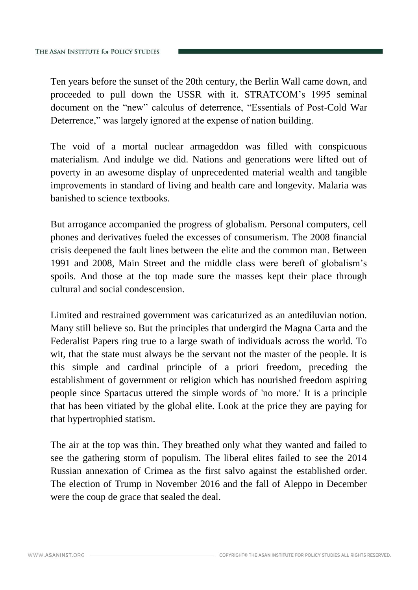Ten years before the sunset of the 20th century, the Berlin Wall came down, and proceeded to pull down the USSR with it. STRATCOM's 1995 seminal document on the "new" calculus of deterrence, "Essentials of Post-Cold War Deterrence," was largely ignored at the expense of nation building.

The void of a mortal nuclear armageddon was filled with conspicuous materialism. And indulge we did. Nations and generations were lifted out of poverty in an awesome display of unprecedented material wealth and tangible improvements in standard of living and health care and longevity. Malaria was banished to science textbooks.

But arrogance accompanied the progress of globalism. Personal computers, cell phones and derivatives fueled the excesses of consumerism. The 2008 financial crisis deepened the fault lines between the elite and the common man. Between 1991 and 2008, Main Street and the middle class were bereft of globalism's spoils. And those at the top made sure the masses kept their place through cultural and social condescension.

Limited and restrained government was caricaturized as an antediluvian notion. Many still believe so. But the principles that undergird the Magna Carta and the Federalist Papers ring true to a large swath of individuals across the world. To wit, that the state must always be the servant not the master of the people. It is this simple and cardinal principle of a priori freedom, preceding the establishment of government or religion which has nourished freedom aspiring people since Spartacus uttered the simple words of 'no more.' It is a principle that has been vitiated by the global elite. Look at the price they are paying for that hypertrophied statism.

The air at the top was thin. They breathed only what they wanted and failed to see the gathering storm of populism. The liberal elites failed to see the 2014 Russian annexation of Crimea as the first salvo against the established order. The election of Trump in November 2016 and the fall of Aleppo in December were the coup de grace that sealed the deal.